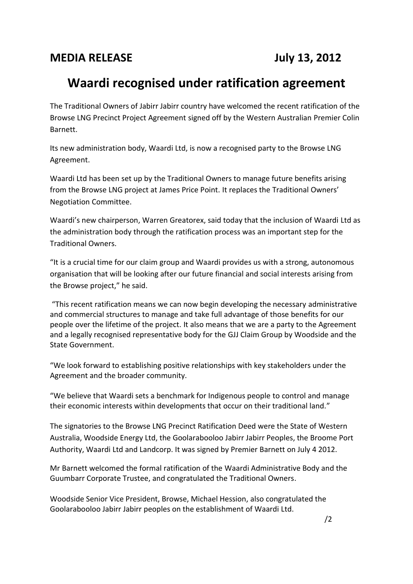## **Waardi recognised under ratification agreement**

The Traditional Owners of Jabirr Jabirr country have welcomed the recent ratification of the Browse LNG Precinct Project Agreement signed off by the Western Australian Premier Colin Barnett.

Its new administration body, Waardi Ltd, is now a recognised party to the Browse LNG Agreement.

Waardi Ltd has been set up by the Traditional Owners to manage future benefits arising from the Browse LNG project at James Price Point. It replaces the Traditional Owners' Negotiation Committee.

Waardi's new chairperson, Warren Greatorex, said today that the inclusion of Waardi Ltd as the administration body through the ratification process was an important step for the Traditional Owners.

"It is a crucial time for our claim group and Waardi provides us with a strong, autonomous organisation that will be looking after our future financial and social interests arising from the Browse project," he said.

"This recent ratification means we can now begin developing the necessary administrative and commercial structures to manage and take full advantage of those benefits for our people over the lifetime of the project. It also means that we are a party to the Agreement and a legally recognised representative body for the GJJ Claim Group by Woodside and the State Government.

"We look forward to establishing positive relationships with key stakeholders under the Agreement and the broader community.

"We believe that Waardi sets a benchmark for Indigenous people to control and manage their economic interests within developments that occur on their traditional land."

The signatories to the Browse LNG Precinct Ratification Deed were the State of Western Australia, Woodside Energy Ltd, the Goolarabooloo Jabirr Jabirr Peoples, the Broome Port Authority, Waardi Ltd and Landcorp. It was signed by Premier Barnett on July 4 2012.

Mr Barnett welcomed the formal ratification of the Waardi Administrative Body and the Guumbarr Corporate Trustee, and congratulated the Traditional Owners.

Woodside Senior Vice President, Browse, Michael Hession, also congratulated the Goolarabooloo Jabirr Jabirr peoples on the establishment of Waardi Ltd.